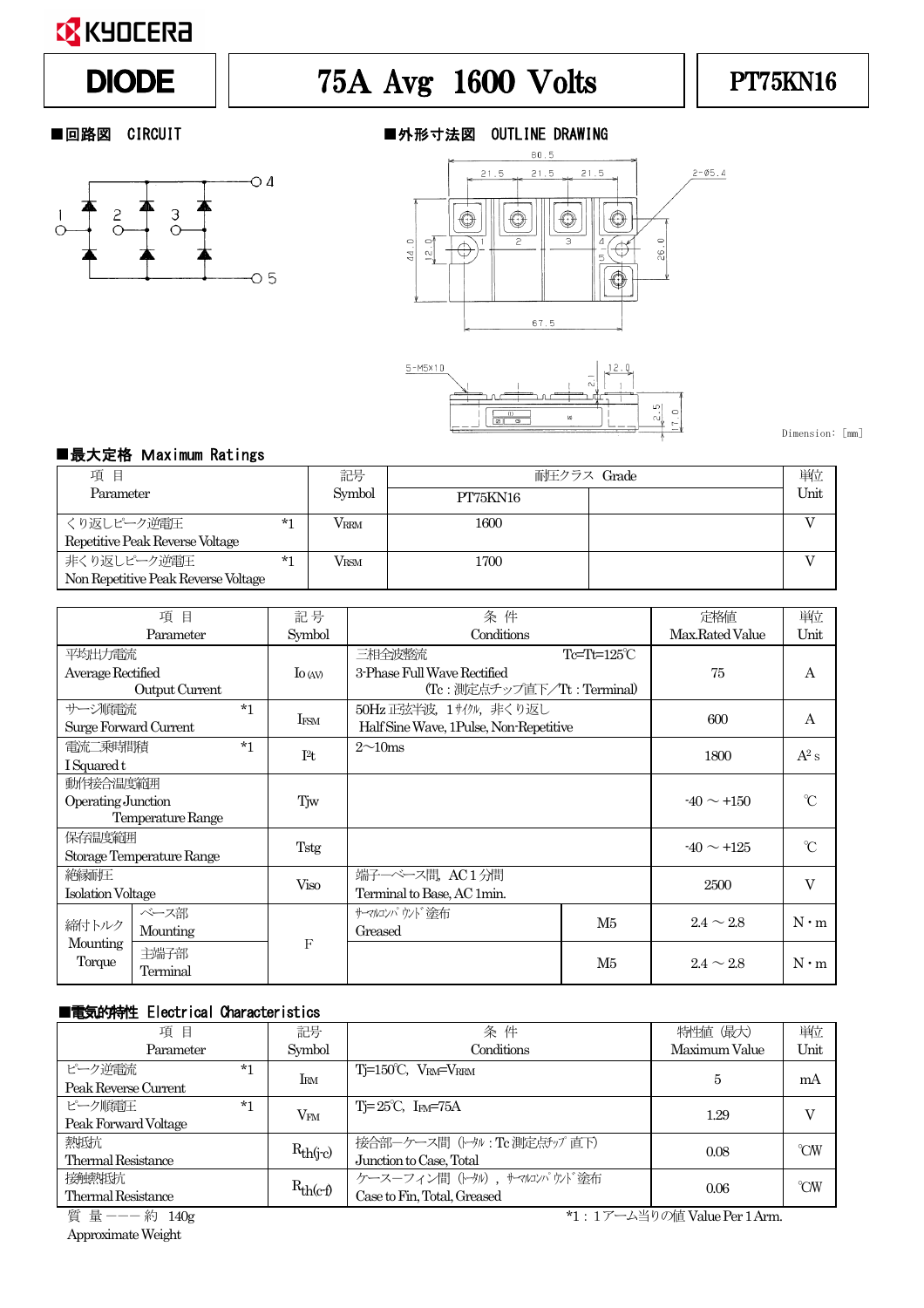

# DIODE  $||$  75A Avg 1600 Volts  $||$  PT75KN16







Dimension: [mm]

### ■最大定格 Maximum Ratings

| 項目                                  |      | 記号                | 耐圧クラス Grade | 単位   |
|-------------------------------------|------|-------------------|-------------|------|
| Parameter                           |      | Symbol            | PT75KN16    | Unit |
| くり返しピーク逆雷圧                          | $*1$ | VRRM              | 1600        |      |
| Repetitive Peak Reverse Voltage     |      |                   |             |      |
| 非くり返しピーク逆電圧                         | $*1$ | $\rm V_{\rm RSM}$ | 1700        |      |
| Non Repetitive Peak Reverse Voltage |      |                   |             |      |

| 項<br>目                                        |                   | 記号          | 条件                         |                                        | 定格値             | 単位             |             |
|-----------------------------------------------|-------------------|-------------|----------------------------|----------------------------------------|-----------------|----------------|-------------|
| Parameter                                     |                   | Symbol      | Conditions                 |                                        | Max.Rated Value | Unit           |             |
| 平均出力電流                                        |                   |             |                            | 三相全波整流                                 | Tc=Tt=125°C     |                |             |
|                                               | Average Rectified |             | $\log$                     | 3-Phase Full Wave Rectified            |                 | 75             | А           |
| Output Current                                |                   |             | (Tc:測定点チップ直下/Tt:Terminal)  |                                        |                 |                |             |
| サージ順雷流                                        |                   | $*1$        |                            | 50Hz 正弦半波, 1サイクル, 非くり返し                |                 | 600            |             |
| Surge Forward Current                         |                   |             | IFSM                       | Half Sine Wave, 1Pulse, Non-Repetitive |                 |                | A           |
| 電流二乗時間積                                       |                   | $*1$        | I <sup>2</sup> t           | $2\sim10$ ms                           |                 | 1800           | $A^2$ s     |
| I Squared t                                   |                   |             |                            |                                        |                 |                |             |
| 動作接合温度範囲                                      |                   |             |                            |                                        |                 |                |             |
| Operating Junction<br>Temperature Range       |                   | Tjw         |                            |                                        | $-40 \sim +150$ | $\gamma$       |             |
|                                               |                   |             |                            |                                        |                 |                |             |
| 保存温度範囲                                        |                   |             |                            |                                        | $-40 \sim +125$ | $^{\circ}C$    |             |
| Storage Temperature Range                     |                   | Tstg        |                            |                                        |                 |                |             |
| 絶縁耐圧<br><b>Isolation Voltage</b>              |                   | <b>Viso</b> | 端子一ベース間, AC1分間             |                                        |                 | V              |             |
|                                               |                   |             | Terminal to Base, AC 1min. |                                        | 2500            |                |             |
| ベース部<br>締付トルク<br>Mounting<br>Mounting<br>主端子部 |                   |             |                            | サーマルコンパウンド塗布                           | M5              | $2.4 \sim 2.8$ |             |
|                                               |                   |             |                            | Greased                                |                 |                | $N \cdot m$ |
|                                               |                   | F           |                            |                                        |                 |                |             |
| Torque<br>Terminal                            |                   |             |                            |                                        | M5              | $2.4 \sim 2.8$ | $N \cdot m$ |

#### ■電気的特性 Electrical Characteristics

| 項目                                         | 記号            | 条件                                   | 特性値 (最大)      | 単位   |
|--------------------------------------------|---------------|--------------------------------------|---------------|------|
| Parameter                                  | Symbol        | Conditions                           | Maximum Value | Unit |
| ピーク逆雷流<br>$*1$                             |               | $Ti=150^{\circ}C$ , $V_{RM}=V_{RRM}$ | 5             | mA   |
| Peak Reverse Current                       | <b>IRM</b>    |                                      |               |      |
| ピーク順雷圧<br>$*1$                             | $V_{FM}$      | $T = 25^{\circ}C$ , $I_{FM} = 75A$   | 1.29          | V    |
| Peak Forward Voltage                       |               |                                      |               |      |
| 熱抵抗                                        |               | 接合部ーケース間 (トタル: Tc 測定点チップ 直下)         | 0.08          | °CW  |
| <b>Thermal Resistance</b>                  | $R_{th(i-c)}$ | Junction to Case, Total              |               |      |
| 接触熱抵抗                                      |               | ケースーフィン間 (トタル), サマルンパウソド塗布           |               | °CW  |
| $R_{th(c-f)}$<br><b>Thermal Resistance</b> |               | Case to Fin, Total, Greased          | 0.06          |      |

ApproximateWeight

質 量 --- 約 140g \*1:1アーム当りの値 Value Per 1 Arm.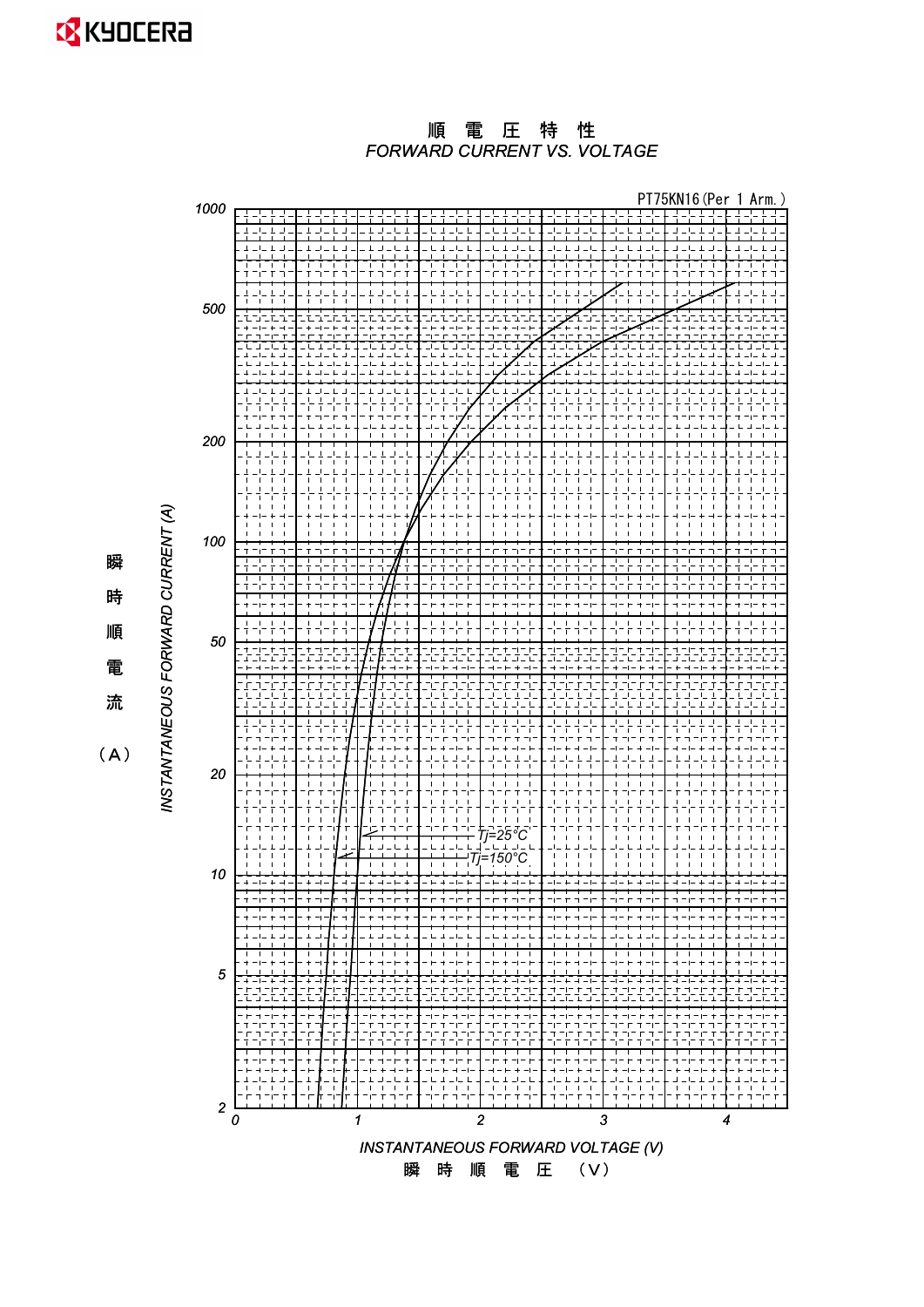*FORWARD CURRENT VS. VOLTAGE* 順電圧特性



 $(A)$ 

瞬

時

順

電

流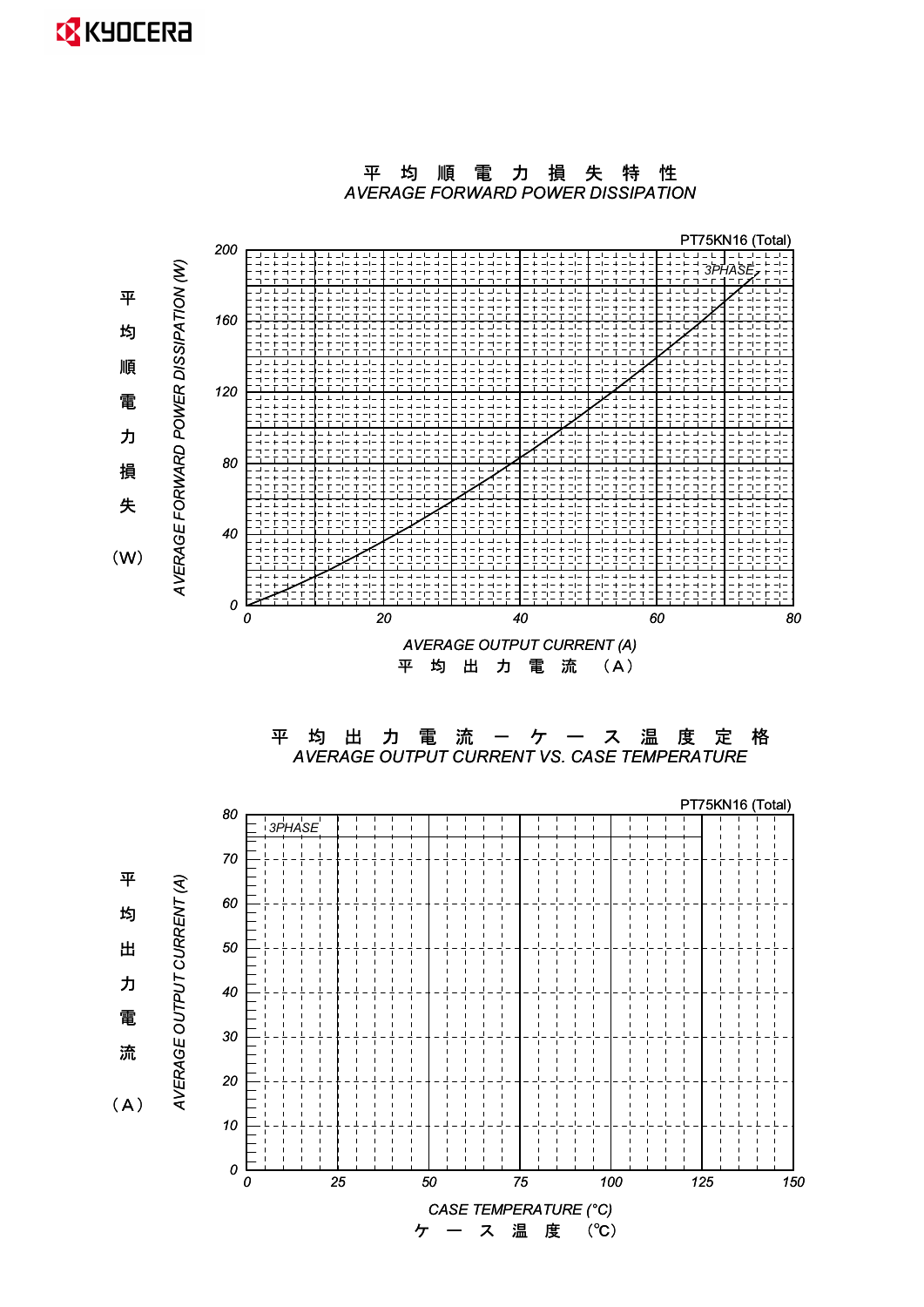

*CASE TEMPERATURE (°C)* 㸦Υ㸧ࠉᗘࠉ ࠉࢫࠉ࣮ࠉࢣ

平均順電力損失特性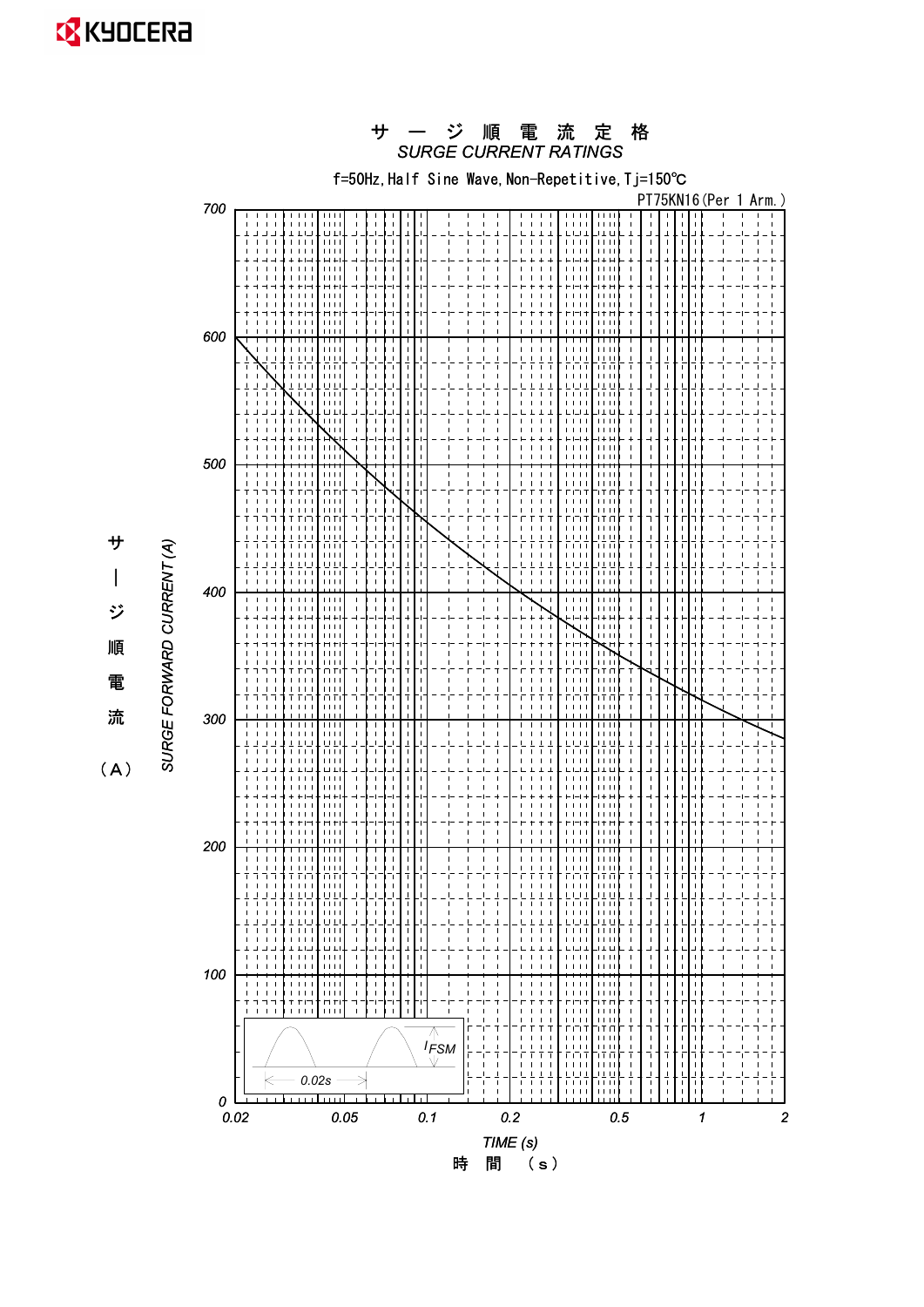

時 間 (s)